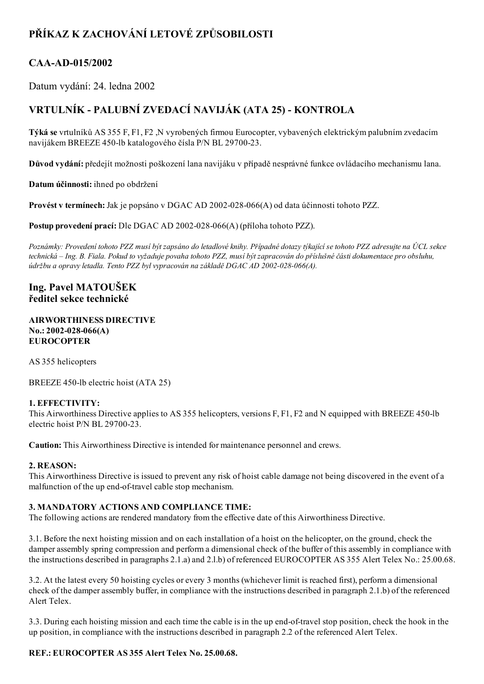# PŘÍKAZ K ZACHOVÁNÍ LETOVÉ ZPŮSOBILOSTI

## CAA-AD-015/2002

Datum vydání: 24. ledna 2002

## VRTULNÍK PALUBNÍ ZVEDACÍ NAVIJÁK (ATA 25) KONTROLA

Týká se vrtulníků AS 355 F, F1, F2 ,N vyrobených firmou Eurocopter, vybavených elektrickým palubním zvedacím navijákem BREEZE 450-lb katalogového čísla P/N BL 29700-23.

Důvod vydání: předejít možnosti poškození lana navijáku v případě nesprávné funkce ovládacího mechanismu lana.

Datum účinnosti: ihned po obdržení

Provést v termínech: Jak je popsáno v DGAC AD 2002-028-066(A) od data účinnosti tohoto PZZ.

Postup provedení prací: Dle DGAC AD 2002-028-066(A) (příloha tohoto PZZ).

Poznámky: Provedení tohoto PZZ musí být zapsáno do letadlové knihy. Případné dotazy týkající se tohoto PZZ adresujte na ÚCL sekce technická – Ing. B. Fiala. Pokud to vyžaduje povaha tohoto PZZ, musí být zapracován do příslušné části dokumentace pro obsluhu, údržbu a opravy letadla. Tento PZZ byl vypracován na základě DGAC AD 2002-028-066(A).

### Ing. Pavel MATOUŠEK ředitel sekce technické

#### AIRWORTHINESS DIRECTIVE  $No.: 2002-028-066(A)$ **EUROCOPTER**

AS 355 helicopters

BREEZE 450-lb electric hoist (ATA 25)

#### 1. EFFECTIVITY:

This Airworthiness Directive applies to AS 355 helicopters, versions F, F1, F2 and N equipped with BREEZE 450-lb electric hoist P/N BL 29700-23.

Caution: This Airworthiness Directive is intended for maintenance personnel and crews.

#### 2. REASON:

This Airworthiness Directive is issued to prevent any risk of hoist cable damage not being discovered in the event of a malfunction of the up end-of-travel cable stop mechanism.

#### 3. MANDATORY ACTIONS AND COMPLIANCE TIME:

The following actions are rendered mandatory from the effective date of this Airworthiness Directive.

3.1. Before the next hoisting mission and on each installation of a hoist on the helicopter, on the ground, check the damper assembly spring compression and perform a dimensional check of the buffer of this assembly in compliance with the instructions described in paragraphs 2.1.a) and 2.l.b) of referenced EUROCOPTER AS 355 Alert Telex No.: 25.00.68.

3.2. At the latest every 50 hoisting cycles or every 3 months (whichever limit is reached first), perform a dimensional check of the damper assembly buffer, in compliance with the instructions described in paragraph 2.1.b) of the referenced Alert Telex.

3.3. During each hoisting mission and each time the cable is in the up end-of-travel stop position, check the hook in the up position, in compliance with the instructions described in paragraph 2.2 of the referenced Alert Telex.

### REF.: EUROCOPTER AS 355 Alert Telex No. 25.00.68.